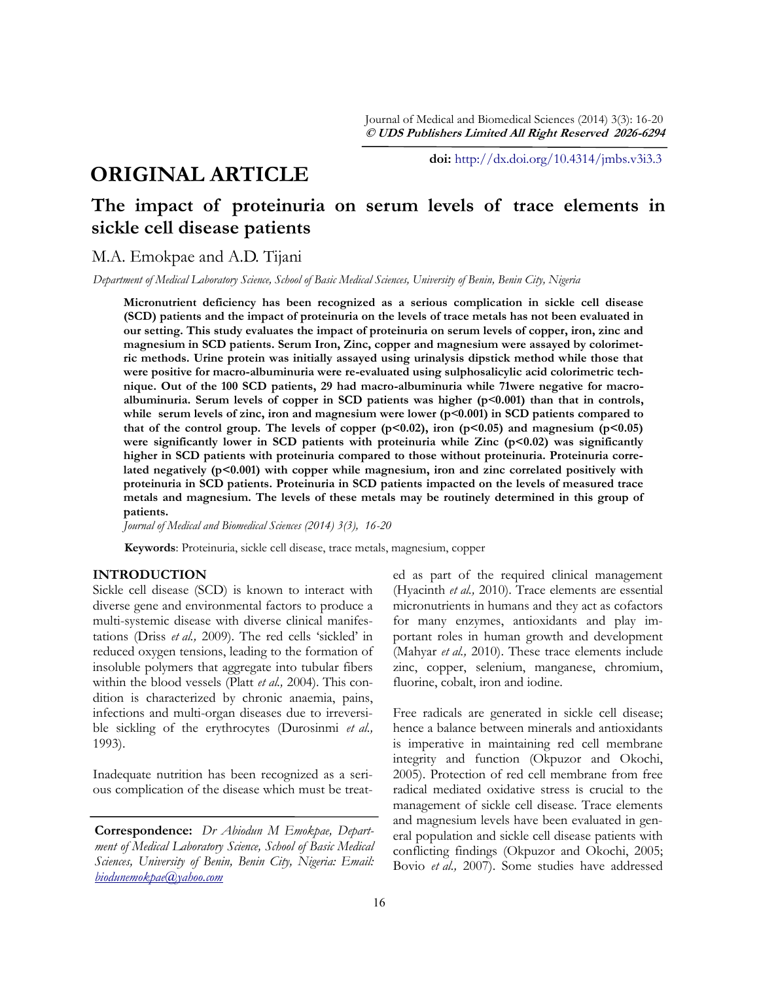# **ORIGINAL ARTICLE**

**doi:** [http://dx.doi.org/10.4314/jmbs.v3i3.3](http://dx.doi.org/10.4314/jmbs.v2i4.1)

# **The impact of proteinuria on serum levels of trace elements in sickle cell disease patients**

## M.A. Emokpae and A.D. Tijani

*Department of Medical Laboratory Science, School of Basic Medical Sciences, University of Benin, Benin City, Nigeria*

**Micronutrient deficiency has been recognized as a serious complication in sickle cell disease (SCD) patients and the impact of proteinuria on the levels of trace metals has not been evaluated in our setting. This study evaluates the impact of proteinuria on serum levels of copper, iron, zinc and magnesium in SCD patients. Serum Iron, Zinc, copper and magnesium were assayed by colorimetric methods. Urine protein was initially assayed using urinalysis dipstick method while those that were positive for macro-albuminuria were re-evaluated using sulphosalicylic acid colorimetric technique. Out of the 100 SCD patients, 29 had macro-albuminuria while 71were negative for macroalbuminuria. Serum levels of copper in SCD patients was higher (p˂0.001) than that in controls, while serum levels of zinc, iron and magnesium were lower (p˂0.001) in SCD patients compared to**  that of the control group. The levels of copper  $(p<0.02)$ , iron  $(p<0.05)$  and magnesium  $(p<0.05)$ were significantly lower in SCD patients with proteinuria while Zinc (p<0.02) was significantly **higher in SCD patients with proteinuria compared to those without proteinuria. Proteinuria corre**lated negatively (p<0.001) with copper while magnesium, iron and zinc correlated positively with **proteinuria in SCD patients. Proteinuria in SCD patients impacted on the levels of measured trace metals and magnesium. The levels of these metals may be routinely determined in this group of patients.** 

*Journal of Medical and Biomedical Sciences (2014) 3(3), 16-20*

**Keywords**: Proteinuria, sickle cell disease, trace metals, magnesium, copper

#### **INTRODUCTION**

Sickle cell disease (SCD) is known to interact with diverse gene and environmental factors to produce a multi-systemic disease with diverse clinical manifestations (Driss *et al.,* 2009). The red cells "sickled" in reduced oxygen tensions, leading to the formation of insoluble polymers that aggregate into tubular fibers within the blood vessels (Platt *et al.,* 2004). This condition is characterized by chronic anaemia, pains, infections and multi-organ diseases due to irreversible sickling of the erythrocytes (Durosinmi *et al.,* 1993).

Inadequate nutrition has been recognized as a serious complication of the disease which must be treat-

**Correspondence:** *Dr Abiodun M Emokpae, Department of Medical Laboratory Science, School of Basic Medical Sciences, University of Benin, Benin City, Nigeria: Email: [biodunemokpae@yahoo.com](mailto:biodunemokpae@yahoo.com)*

ed as part of the required clinical management (Hyacinth *et al.,* 2010). Trace elements are essential micronutrients in humans and they act as cofactors for many enzymes, antioxidants and play important roles in human growth and development (Mahyar *et al.,* 2010). These trace elements include zinc, copper, selenium, manganese, chromium, fluorine, cobalt, iron and iodine.

Free radicals are generated in sickle cell disease; hence a balance between minerals and antioxidants is imperative in maintaining red cell membrane integrity and function (Okpuzor and Okochi, 2005). Protection of red cell membrane from free radical mediated oxidative stress is crucial to the management of sickle cell disease. Trace elements and magnesium levels have been evaluated in general population and sickle cell disease patients with conflicting findings (Okpuzor and Okochi, 2005; Bovio *et al.,* 2007). Some studies have addressed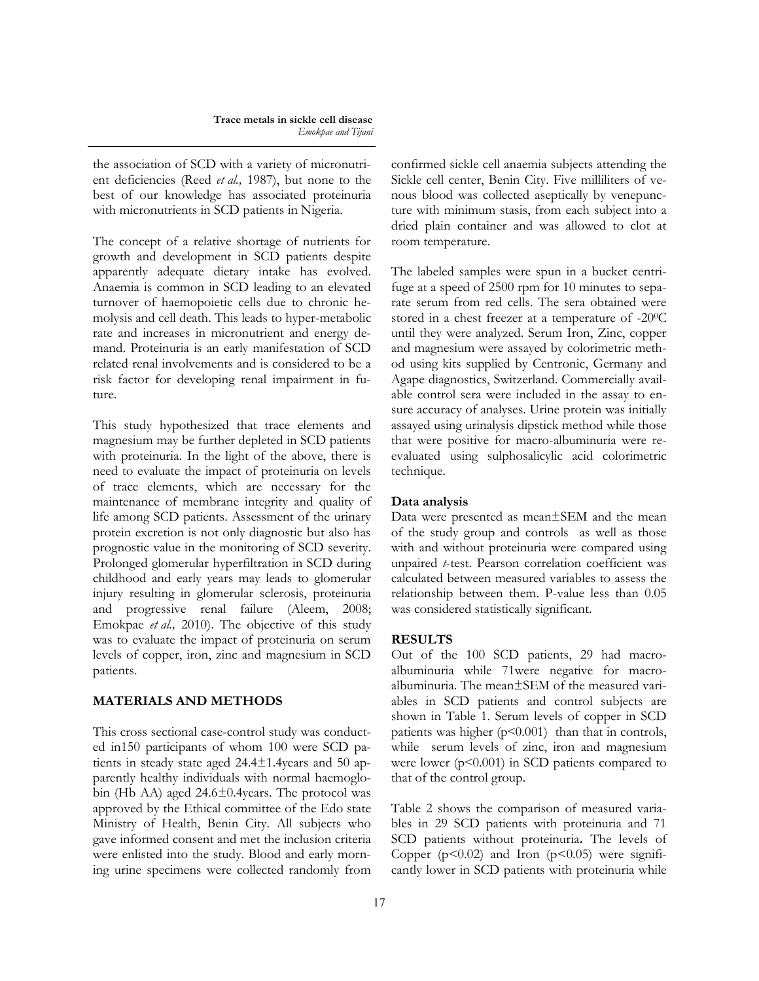the association of SCD with a variety of micronutrient deficiencies (Reed *et al.,* 1987), but none to the best of our knowledge has associated proteinuria with micronutrients in SCD patients in Nigeria.

The concept of a relative shortage of nutrients for growth and development in SCD patients despite apparently adequate dietary intake has evolved. Anaemia is common in SCD leading to an elevated turnover of haemopoietic cells due to chronic hemolysis and cell death. This leads to hyper-metabolic rate and increases in micronutrient and energy demand. Proteinuria is an early manifestation of SCD related renal involvements and is considered to be a risk factor for developing renal impairment in future.

This study hypothesized that trace elements and magnesium may be further depleted in SCD patients with proteinuria. In the light of the above, there is need to evaluate the impact of proteinuria on levels of trace elements, which are necessary for the maintenance of membrane integrity and quality of life among SCD patients. Assessment of the urinary protein excretion is not only diagnostic but also has prognostic value in the monitoring of SCD severity. Prolonged glomerular hyperfiltration in SCD during childhood and early years may leads to glomerular injury resulting in glomerular sclerosis, proteinuria and progressive renal failure (Aleem, 2008; Emokpae *et al.,* 2010). The objective of this study was to evaluate the impact of proteinuria on serum levels of copper, iron, zinc and magnesium in SCD patients.

### **MATERIALS AND METHODS**

This cross sectional case-control study was conducted in150 participants of whom 100 were SCD patients in steady state aged 24.4±1.4years and 50 apparently healthy individuals with normal haemoglobin (Hb AA) aged 24.6±0.4years. The protocol was approved by the Ethical committee of the Edo state Ministry of Health, Benin City. All subjects who gave informed consent and met the inclusion criteria were enlisted into the study. Blood and early morning urine specimens were collected randomly from confirmed sickle cell anaemia subjects attending the Sickle cell center, Benin City. Five milliliters of venous blood was collected aseptically by venepuncture with minimum stasis, from each subject into a dried plain container and was allowed to clot at room temperature.

The labeled samples were spun in a bucket centrifuge at a speed of 2500 rpm for 10 minutes to separate serum from red cells. The sera obtained were stored in a chest freezer at a temperature of -200C until they were analyzed. Serum Iron, Zinc, copper and magnesium were assayed by colorimetric method using kits supplied by Centronic, Germany and Agape diagnostics, Switzerland. Commercially available control sera were included in the assay to ensure accuracy of analyses. Urine protein was initially assayed using urinalysis dipstick method while those that were positive for macro-albuminuria were reevaluated using sulphosalicylic acid colorimetric technique.

## **Data analysis**

Data were presented as mean±SEM and the mean of the study group and controls as well as those with and without proteinuria were compared using unpaired *t*-test. Pearson correlation coefficient was calculated between measured variables to assess the relationship between them. P-value less than 0.05 was considered statistically significant.

## **RESULTS**

Out of the 100 SCD patients, 29 had macroalbuminuria while 71were negative for macroalbuminuria. The mean±SEM of the measured variables in SCD patients and control subjects are shown in Table 1. Serum levels of copper in SCD patients was higher  $(p<0.001)$  than that in controls, while serum levels of zinc, iron and magnesium were lower (p˂0.001) in SCD patients compared to that of the control group.

Table 2 shows the comparison of measured variables in 29 SCD patients with proteinuria and 71 SCD patients without proteinuria**.** The levels of Copper  $(p<0.02)$  and Iron  $(p<0.05)$  were significantly lower in SCD patients with proteinuria while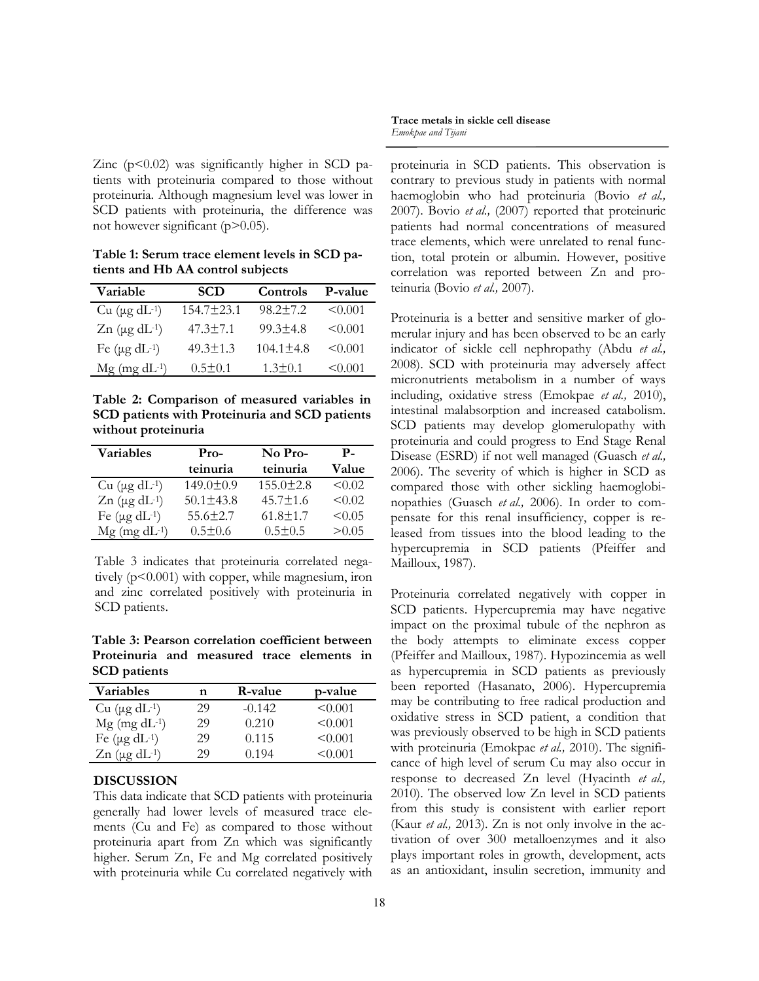Zinc  $(p<0.02)$  was significantly higher in SCD patients with proteinuria compared to those without proteinuria. Although magnesium level was lower in SCD patients with proteinuria, the difference was not however significant (p>0.05).

**Table 1: Serum trace element levels in SCD patients and Hb AA control subjects**

| Variable                          | <b>SCD</b>     | Controls        | P-value      |
|-----------------------------------|----------------|-----------------|--------------|
| Cu $(\mu g dL^{-1})$              | 154.7±23.1     | $98.2 \pm 7.2$  | $\leq 0.001$ |
| $Zn$ ( $\mu$ g dL <sup>-1</sup> ) | $47.3 \pm 7.1$ | $99.3 \pm 4.8$  | $\leq 0.001$ |
| Fe $(\mu g \, dL^{-1})$           | $49.3 \pm 1.3$ | $104.1 \pm 4.8$ | $\leq 0.001$ |
| $Mg$ (mg dL-1)                    | $0.5 \pm 0.1$  | $1.3 \pm 0.1$   | $\leq 0.001$ |

**Table 2: Comparison of measured variables in SCD patients with Proteinuria and SCD patients without proteinuria**

| <b>Variables</b>                  | Pro-            | No Pro-         | Р-     |
|-----------------------------------|-----------------|-----------------|--------|
|                                   | teinuria        | teinuria        | Value  |
| Cu $(\mu g \, dL^{-1})$           | 149.0±0.9       | $155.0 \pm 2.8$ | < 0.02 |
| $Zn$ ( $\mu$ g dL <sup>-1</sup> ) | $50.1 \pm 43.8$ | $45.7 \pm 1.6$  | < 0.02 |
| Fe $(\mu g \, dL^{-1})$           | $55.6 \pm 2.7$  | $61.8 \pm 1.7$  | < 0.05 |
| $Mg$ (mg dL <sup>-1</sup> )       | $0.5 \pm 0.6$   | $0.5 \pm 0.5$   | > 0.05 |

Table 3 indicates that proteinuria correlated negatively (p<0.001) with copper, while magnesium, iron and zinc correlated positively with proteinuria in SCD patients.

**Table 3: Pearson correlation coefficient between Proteinuria and measured trace elements in SCD patients**

| Variables               | n  | R-value  | p-value      |
|-------------------------|----|----------|--------------|
| Cu $(\mu g \, dL^{-1})$ | 29 | $-0.142$ | $\leq 0.001$ |
| $Mg$ (mg dL-1)          | 29 | 0.210    | $\leq 0.001$ |
| Fe $(\mu g \, dL^{-1})$ | 29 | 0.115    | $\leq 0.001$ |
| $Zn$ (µg dL-1)          | 29 | 0.194    | < 0.001      |

#### **DISCUSSION**

This data indicate that SCD patients with proteinuria generally had lower levels of measured trace elements (Cu and Fe) as compared to those without proteinuria apart from Zn which was significantly higher. Serum Zn, Fe and Mg correlated positively with proteinuria while Cu correlated negatively with

**Trace metals in sickle cell disease** *Emokpae and Tijani*

proteinuria in SCD patients. This observation is contrary to previous study in patients with normal haemoglobin who had proteinuria (Bovio *et al.,*  2007). Bovio *et al.,* (2007) reported that proteinuric patients had normal concentrations of measured trace elements, which were unrelated to renal function, total protein or albumin. However, positive correlation was reported between Zn and proteinuria (Bovio *et al.,* 2007).

Proteinuria is a better and sensitive marker of glomerular injury and has been observed to be an early indicator of sickle cell nephropathy (Abdu *et al.,* 2008). SCD with proteinuria may adversely affect micronutrients metabolism in a number of ways including, oxidative stress (Emokpae *et al.,* 2010), intestinal malabsorption and increased catabolism. SCD patients may develop glomerulopathy with proteinuria and could progress to End Stage Renal Disease (ESRD) if not well managed (Guasch *et al.,* 2006). The severity of which is higher in SCD as compared those with other sickling haemoglobinopathies (Guasch *et al.,* 2006). In order to compensate for this renal insufficiency, copper is released from tissues into the blood leading to the hypercupremia in SCD patients (Pfeiffer and Mailloux, 1987).

Proteinuria correlated negatively with copper in SCD patients. Hypercupremia may have negative impact on the proximal tubule of the nephron as the body attempts to eliminate excess copper (Pfeiffer and Mailloux, 1987). Hypozincemia as well as hypercupremia in SCD patients as previously been reported (Hasanato, 2006). Hypercupremia may be contributing to free radical production and oxidative stress in SCD patient, a condition that was previously observed to be high in SCD patients with proteinuria (Emokpae *et al.,* 2010). The significance of high level of serum Cu may also occur in response to decreased Zn level (Hyacinth *et al.,* 2010). The observed low Zn level in SCD patients from this study is consistent with earlier report (Kaur *et al.,* 2013). Zn is not only involve in the activation of over 300 metalloenzymes and it also plays important roles in growth, development, acts as an antioxidant, insulin secretion, immunity and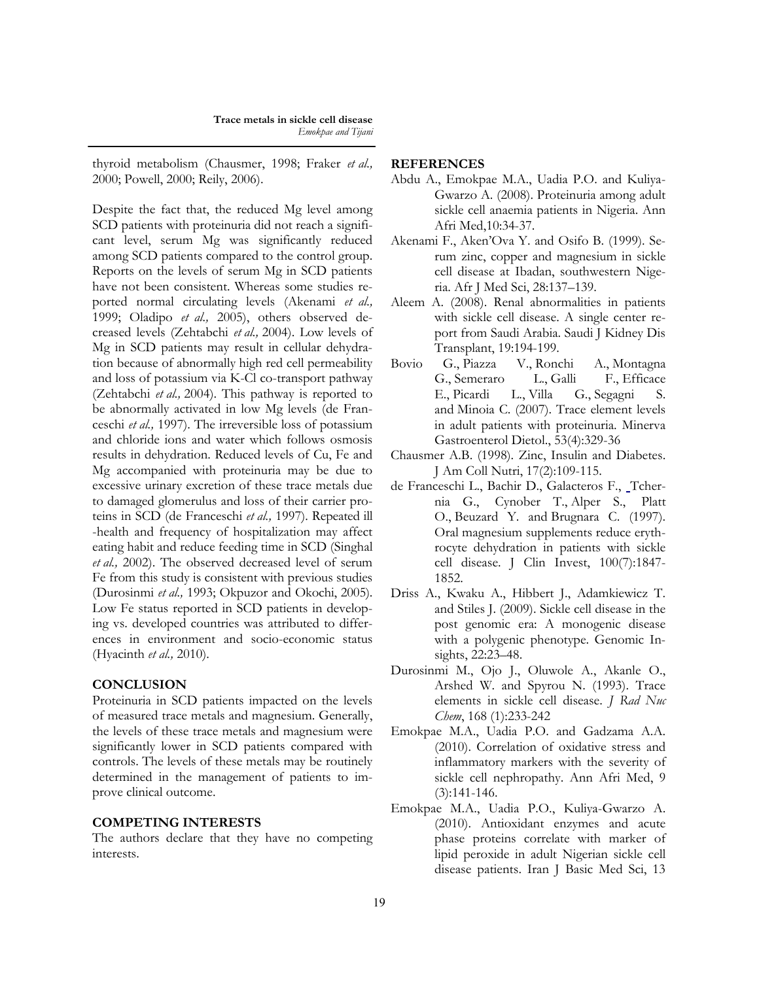thyroid metabolism (Chausmer, 1998; Fraker *et al.,* 2000; Powell, 2000; Reily, 2006).

Despite the fact that, the reduced Mg level among SCD patients with proteinuria did not reach a significant level, serum Mg was significantly reduced among SCD patients compared to the control group. Reports on the levels of serum Mg in SCD patients have not been consistent. Whereas some studies reported normal circulating levels (Akenami *et al.,* 1999; Oladipo *et al.,* 2005), others observed decreased levels (Zehtabchi *et al.,* 2004). Low levels of Mg in SCD patients may result in cellular dehydration because of abnormally high red cell permeability and loss of potassium via K-Cl co-transport pathway (Zehtabchi *et al.,* 2004). This pathway is reported to be abnormally activated in low Mg levels (de Franceschi *et al.,* 1997). The irreversible loss of potassium and chloride ions and water which follows osmosis results in dehydration. Reduced levels of Cu, Fe and Mg accompanied with proteinuria may be due to excessive urinary excretion of these trace metals due to damaged glomerulus and loss of their carrier proteins in SCD (de Franceschi *et al.,* 1997). Repeated ill -health and frequency of hospitalization may affect eating habit and reduce feeding time in SCD (Singhal *et al.,* 2002). The observed decreased level of serum Fe from this study is consistent with previous studies (Durosinmi *et al.,* 1993; Okpuzor and Okochi, 2005). Low Fe status reported in SCD patients in developing vs. developed countries was attributed to differences in environment and socio-economic status (Hyacinth *et al.,* 2010).

### **CONCLUSION**

Proteinuria in SCD patients impacted on the levels of measured trace metals and magnesium. Generally, the levels of these trace metals and magnesium were significantly lower in SCD patients compared with controls. The levels of these metals may be routinely determined in the management of patients to improve clinical outcome.

#### **COMPETING INTERESTS**

The authors declare that they have no competing interests.

## **REFERENCES**

- Abdu A., Emokpae M.A., Uadia P.O. and Kuliya-Gwarzo A. (2008). Proteinuria among adult sickle cell anaemia patients in Nigeria. Ann Afri Med,10:34-37.
- Akenami F., Aken"Ova Y. and Osifo B. (1999). Serum zinc, copper and magnesium in sickle cell disease at Ibadan, southwestern Nigeria. Afr J Med Sci, 28:137–139.
- Aleem A. (2008). Renal abnormalities in patients with sickle cell disease. A single center report from Saudi Arabia. Saudi J Kidney Dis Transplant, 19:194-199.
- [Bovio G.](http://www.ncbi.nlm.nih.gov/pubmed/?term=Bovio%20G%5BAuthor%5D&cauthor=true&cauthor_uid=18043551), Piazza V., Ronchi A., Montagna [G.,](http://www.ncbi.nlm.nih.gov/pubmed/?term=Montagna%20G%5BAuthor%5D&cauthor=true&cauthor_uid=18043551) [Semeraro L.](http://www.ncbi.nlm.nih.gov/pubmed/?term=Semeraro%20L%5BAuthor%5D&cauthor=true&cauthor_uid=18043551), Galli F., Efficace [E.](http://www.ncbi.nlm.nih.gov/pubmed/?term=Efficace%20E%5BAuthor%5D&cauthor=true&cauthor_uid=18043551), [Picardi L.](http://www.ncbi.nlm.nih.gov/pubmed/?term=Picardi%20L%5BAuthor%5D&cauthor=true&cauthor_uid=18043551), Villa G., Segagni S. and [Minoia C.](http://www.ncbi.nlm.nih.gov/pubmed/?term=Minoia%20C%5BAuthor%5D&cauthor=true&cauthor_uid=18043551) (2007). Trace element levels in adult patients with proteinuria. Minerva Gastroenterol Dietol., 53(4):329-36
- Chausmer A.B. (1998). Zinc, Insulin and Diabetes. J Am Coll Nutri, 17(2):109-115.
- de Franceschi L., Bachir D., Galacteros F., [Tcher](http://www.ncbi.nlm.nih.gov/pubmed/?term=Tchernia%20G%5Bauth%5D)[nia](http://www.ncbi.nlm.nih.gov/pubmed/?term=Tchernia%20G%5Bauth%5D) G., [Cynober](http://www.ncbi.nlm.nih.gov/pubmed/?term=Cynober%20T%5Bauth%5D) T., [Alper](http://www.ncbi.nlm.nih.gov/pubmed/?term=Alper%20S%5Bauth%5D) S., [Platt](http://www.ncbi.nlm.nih.gov/pubmed/?term=Platt%20O%5Bauth%5D) O., [Beuzard](http://www.ncbi.nlm.nih.gov/pubmed/?term=Beuzard%20Y%5Bauth%5D) Y. and [Brugnara](http://www.ncbi.nlm.nih.gov/pubmed/?term=Brugnara%20C%5Bauth%5D) C. (1997). Oral magnesium supplements reduce erythrocyte dehydration in patients with sickle cell disease. J Clin Invest, 100(7):1847- 1852.
- Driss A., Kwaku A., Hibbert J., Adamkiewicz T. and Stiles J. (2009). Sickle cell disease in the post genomic era: A monogenic disease with a polygenic phenotype. Genomic Insights, 22:23–48.
- Durosinmi M., Ojo J., Oluwole A., Akanle O., Arshed W. and Spyrou N. (1993). Trace elements in sickle cell disease. *J Rad Nuc Chem*, 168 (1):233-242
- Emokpae M.A., Uadia P.O. and Gadzama A.A. (2010). Correlation of oxidative stress and inflammatory markers with the severity of sickle cell nephropathy. Ann Afri Med, 9 (3):141-146.
- Emokpae M.A., Uadia P.O., Kuliya-Gwarzo A. (2010). Antioxidant enzymes and acute phase proteins correlate with marker of lipid peroxide in adult Nigerian sickle cell disease patients. Iran J Basic Med Sci, 13